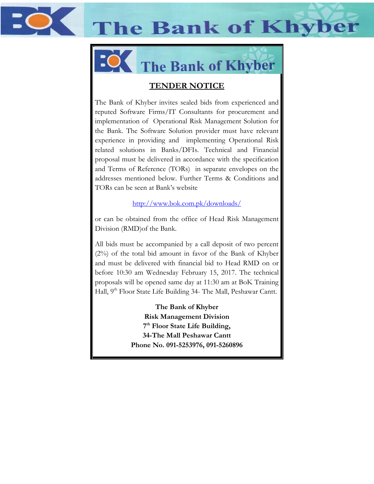**The Bank of Khyber** 



# The Bank of Khyber

# **TENDER NOTICE**

The Bank of Khyber invites sealed bids from experienced and reputed Software Firms/IT Consultants for procurement and implementation of Operational Risk Management Solution for the Bank. The Software Solution provider must have relevant experience in providing and implementing Operational Risk related solutions in Banks/DFIs. Technical and Financial proposal must be delivered in accordance with the specification and Terms of Reference (TORs) in separate envelopes on the addresses mentioned below. Further Terms & Conditions and TORs can be seen at Bank's website

<http://www.bok.com.pk/downloads/>

or can be obtained from the office of Head Risk Management Division (RMD)of the Bank.

All bids must be accompanied by a call deposit of two percent (2%) of the total bid amount in favor of the Bank of Khyber and must be delivered with financial bid to Head RMD on or before 10:30 am Wednesday February 15, 2017. The technical proposals will be opened same day at 11:30 am at BoK Training Hall, 9<sup>th</sup> Floor State Life Building 34- The Mall, Peshawar Cantt.

> **The Bank of Khyber Risk Management Division 7 th Floor State Life Building, 34-The Mall Peshawar Cantt Phone No. 091-5253976, 091-5260896**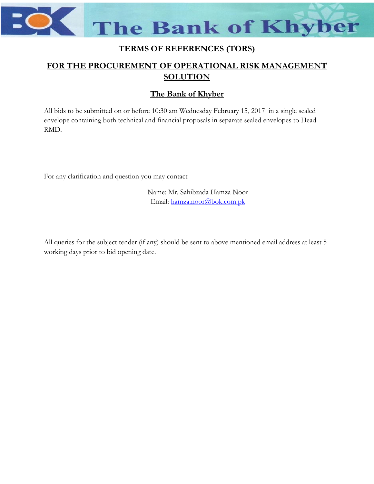**The Bank of Khyber** 

# **TERMS OF REFERENCES (TORS)**

# **FOR THE PROCUREMENT OF OPERATIONAL RISK MANAGEMENT SOLUTION**

## **The Bank of Khyber**

All bids to be submitted on or before 10:30 am Wednesday February 15, 2017 in a single sealed envelope containing both technical and financial proposals in separate sealed envelopes to Head RMD.

For any clarification and question you may contact

Name: Mr. Sahibzada Hamza Noor Email: [hamza.noor@bok.com.pk](mailto:hamza.noor@bok.com.pk)

All queries for the subject tender (if any) should be sent to above mentioned email address at least 5 working days prior to bid opening date.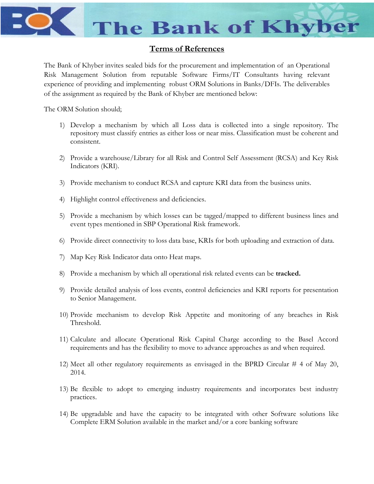

#### **Terms of References**

The Bank of Khyber invites sealed bids for the procurement and implementation of an Operational Risk Management Solution from reputable Software Firms/IT Consultants having relevant experience of providing and implementing robust ORM Solutions in Banks/DFIs. The deliverables of the assignment as required by the Bank of Khyber are mentioned below:

The ORM Solution should;

- 1) Develop a mechanism by which all Loss data is collected into a single repository. The repository must classify entries as either loss or near miss. Classification must be coherent and consistent.
- 2) Provide a warehouse/Library for all Risk and Control Self Assessment (RCSA) and Key Risk Indicators (KRI).
- 3) Provide mechanism to conduct RCSA and capture KRI data from the business units.
- 4) Highlight control effectiveness and deficiencies.
- 5) Provide a mechanism by which losses can be tagged/mapped to different business lines and event types mentioned in SBP Operational Risk framework.
- 6) Provide direct connectivity to loss data base, KRIs for both uploading and extraction of data.
- 7) Map Key Risk Indicator data onto Heat maps.
- 8) Provide a mechanism by which all operational risk related events can be **tracked.**
- 9) Provide detailed analysis of loss events, control deficiencies and KRI reports for presentation to Senior Management.
- 10) Provide mechanism to develop Risk Appetite and monitoring of any breaches in Risk Threshold.
- 11) Calculate and allocate Operational Risk Capital Charge according to the Basel Accord requirements and has the flexibility to move to advance approaches as and when required.
- 12) Meet all other regulatory requirements as envisaged in the BPRD Circular # 4 of May 20, 2014.
- 13) Be flexible to adopt to emerging industry requirements and incorporates best industry practices.
- 14) Be upgradable and have the capacity to be integrated with other Software solutions like Complete ERM Solution available in the market and/or a core banking software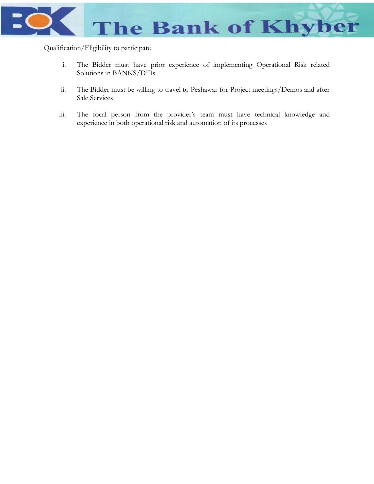

Qualification/Eligibility to participate

- i. The Bidder must have prior experience of implementing Operational Risk related Solutions in BANKS/DFIs.
- ii. The Bidder must be willing to travel to Peshawar for Project meetings/Demos and after Sale Services
- iii. The focal person from the provider's team must have technical knowledge and experience in both operational risk and automation of its processes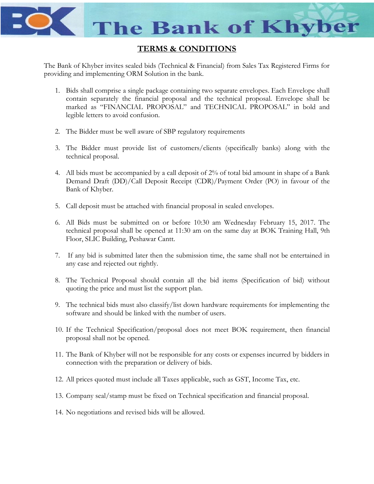

### **TERMS & CONDITIONS**

The Bank of Khyber invites sealed bids (Technical & Financial) from Sales Tax Registered Firms for providing and implementing ORM Solution in the bank.

- 1. Bids shall comprise a single package containing two separate envelopes. Each Envelope shall contain separately the financial proposal and the technical proposal. Envelope shall be marked as "FINANCIAL PROPOSAL" and TECHNICAL PROPOSAL" in bold and legible letters to avoid confusion.
- 2. The Bidder must be well aware of SBP regulatory requirements
- 3. The Bidder must provide list of customers/clients (specifically banks) along with the technical proposal.
- 4. All bids must be accompanied by a call deposit of 2% of total bid amount in shape of a Bank Demand Draft (DD)/Call Deposit Receipt (CDR)/Payment Order (PO) in favour of the Bank of Khyber.
- 5. Call deposit must be attached with financial proposal in sealed envelopes.
- 6. All Bids must be submitted on or before 10:30 am Wednesday February 15, 2017. The technical proposal shall be opened at 11:30 am on the same day at BOK Training Hall, 9th Floor, SLIC Building, Peshawar Cantt.
- 7. If any bid is submitted later then the submission time, the same shall not be entertained in any case and rejected out rightly.
- 8. The Technical Proposal should contain all the bid items (Specification of bid) without quoting the price and must list the support plan.
- 9. The technical bids must also classify/list down hardware requirements for implementing the software and should be linked with the number of users.
- 10. If the Technical Specification/proposal does not meet BOK requirement, then financial proposal shall not be opened.
- 11. The Bank of Khyber will not be responsible for any costs or expenses incurred by bidders in connection with the preparation or delivery of bids.
- 12. All prices quoted must include all Taxes applicable, such as GST, Income Tax, etc.
- 13. Company seal/stamp must be fixed on Technical specification and financial proposal.
- 14. No negotiations and revised bids will be allowed.